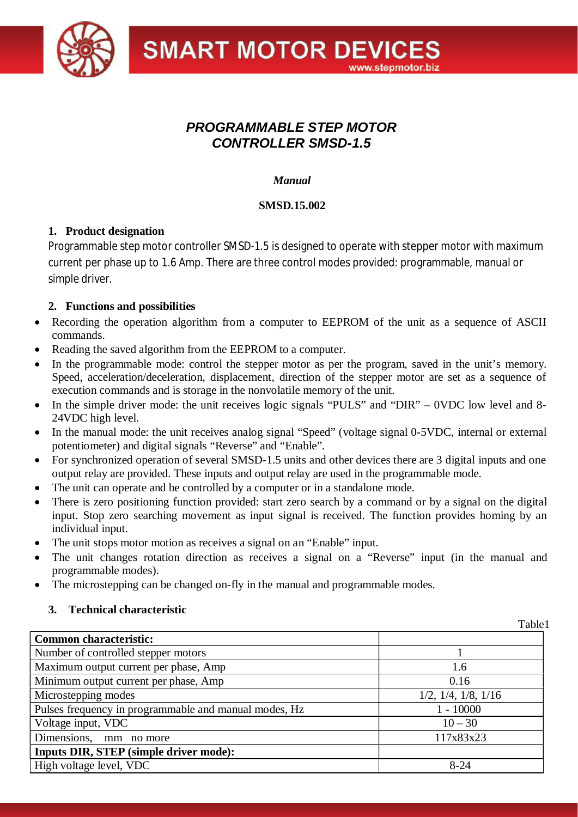

### *PROGRAMMABLE STEP MOTOR CONTROLLER SMSD-1.5*

#### *Manual*

#### **SMSD.15.002**

#### **1. Product designation**

Programmable step motor controller SMSD-1.5 is designed to operate with stepper motor with maximum current per phase up to 1.6 Amp. There are three control modes provided: programmable, manual or simple driver.

#### **2. Functions and possibilities**

- Recording the operation algorithm from a computer to EEPROM of the unit as a sequence of ASCII commands.
- Reading the saved algorithm from the EEPROM to a computer.
- In the programmable mode: control the stepper motor as per the program, saved in the unit's memory. Speed, acceleration/deceleration, displacement, direction of the stepper motor are set as a sequence of execution commands and is storage in the nonvolatile memory of the unit.
- In the simple driver mode: the unit receives logic signals "PULS" and "DIR" 0VDC low level and 8-24VDC high level.
- In the manual mode: the unit receives analog signal "Speed" (voltage signal 0-5VDC, internal or external potentiometer) and digital signals "Reverse" and "Enable".
- For synchronized operation of several SMSD-1.5 units and other devices there are 3 digital inputs and one output relay are provided. These inputs and output relay are used in the programmable mode.
- The unit can operate and be controlled by a computer or in a standalone mode.
- There is zero positioning function provided: start zero search by a command or by a signal on the digital input. Stop zero searching movement as input signal is received. The function provides homing by an individual input.
- The unit stops motor motion as receives a signal on an "Enable" input.
- The unit changes rotation direction as receives a signal on a "Reverse" input (in the manual and programmable modes).
- The microstepping can be changed on-fly in the manual and programmable modes.

#### **3. Technical characteristic**

|                                                       | Table1                         |
|-------------------------------------------------------|--------------------------------|
| <b>Common characteristic:</b>                         |                                |
| Number of controlled stepper motors                   |                                |
| Maximum output current per phase, Amp                 | 1.6                            |
| Minimum output current per phase, Amp                 | 0.16                           |
| Microstepping modes                                   | $1/2$ , $1/4$ , $1/8$ , $1/16$ |
| Pulses frequency in programmable and manual modes, Hz | $1 - 10000$                    |
| Voltage input, VDC                                    | $10 - 30$                      |
| Dimensions,<br>mm no more                             | 117x83x23                      |
| <b>Inputs DIR, STEP (simple driver mode):</b>         |                                |
| High voltage level, VDC                               | $8 - 24$                       |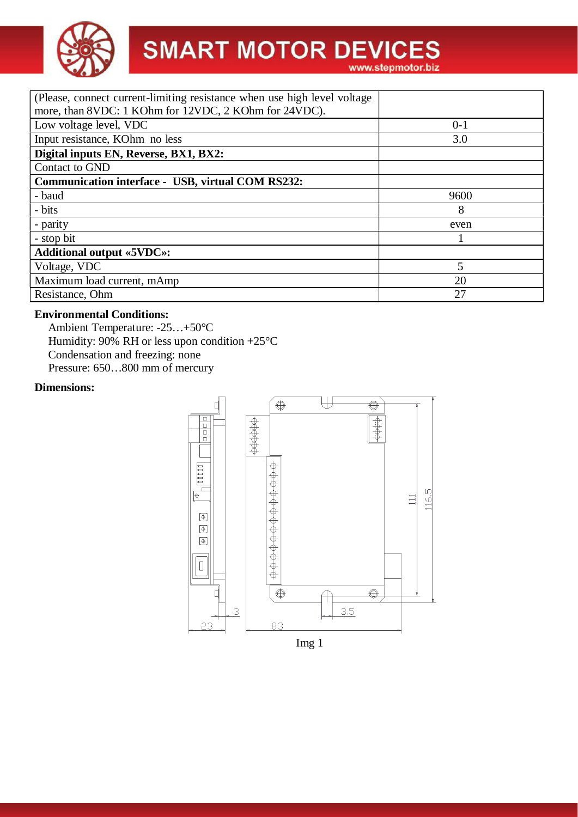

| (Please, connect current-limiting resistance when use high level voltage<br>more, than 8VDC: 1 KOhm for 12VDC, 2 KOhm for 24VDC). |         |  |  |  |
|-----------------------------------------------------------------------------------------------------------------------------------|---------|--|--|--|
| Low voltage level, VDC                                                                                                            | $0 - 1$ |  |  |  |
| Input resistance, KOhm no less                                                                                                    | 3.0     |  |  |  |
| Digital inputs EN, Reverse, BX1, BX2:                                                                                             |         |  |  |  |
| Contact to GND                                                                                                                    |         |  |  |  |
| <b>Communication interface - USB, virtual COM RS232:</b>                                                                          |         |  |  |  |
| - baud                                                                                                                            | 9600    |  |  |  |
| - bits                                                                                                                            | 8       |  |  |  |
| - parity                                                                                                                          | even    |  |  |  |
| - stop bit                                                                                                                        |         |  |  |  |
| <b>Additional output «5VDC»:</b>                                                                                                  |         |  |  |  |
| Voltage, VDC                                                                                                                      | 5       |  |  |  |
| Maximum load current, mAmp                                                                                                        | 20      |  |  |  |
| Resistance, Ohm                                                                                                                   | 27      |  |  |  |

#### **Environmental Conditions:**

Ambient Temperature: -25…+50°C Humidity: 90% RH or less upon condition  $+25^{\circ}$ C Condensation and freezing: none Pressure: 650…800 mm of mercury

#### **Dimensions:**

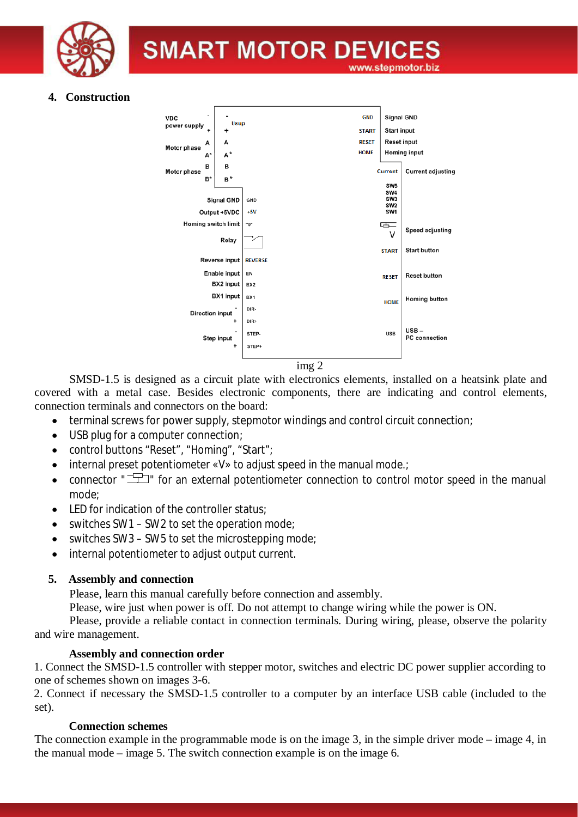

#### **4. Construction**



SMSD-1.5 is designed as a circuit plate with electronics elements, installed on a heatsink plate and covered with a metal case. Besides electronic components, there are indicating and control elements, connection terminals and connectors on the board:

- terminal screws for power supply, stepmotor windings and control circuit connection:
- · USB plug for a computer connection;
- · control buttons "Reset", "Homing", "Start";
- internal preset potentiometer «V» to adjust speed in the manual mode.;
- connector " $\Box$ " for an external potentiometer connection to control motor speed in the manual mode;
- LED for indication of the controller status:
- switches SW1 SW2 to set the operation mode;
- switches SW3 SW5 to set the microstepping mode;
- · internal potentiometer to adjust output current.

#### **5. Assembly and connection**

Please, learn this manual carefully before connection and assembly.

Please, wire just when power is off. Do not attempt to change wiring while the power is ON.

Please, provide a reliable contact in connection terminals. During wiring, please, observe the polarity and wire management.

#### **Assembly and connection order**

1. Connect the SMSD-1.5 controller with stepper motor, switches and electric DC power supplier according to one of schemes shown on images 3-6.

2. Connect if necessary the SMSD-1.5 controller to a computer by an interface USB cable (included to the set).

#### **Connection schemes**

The connection example in the programmable mode is on the image 3, in the simple driver mode – image 4, in the manual mode – image 5. The switch connection example is on the image 6.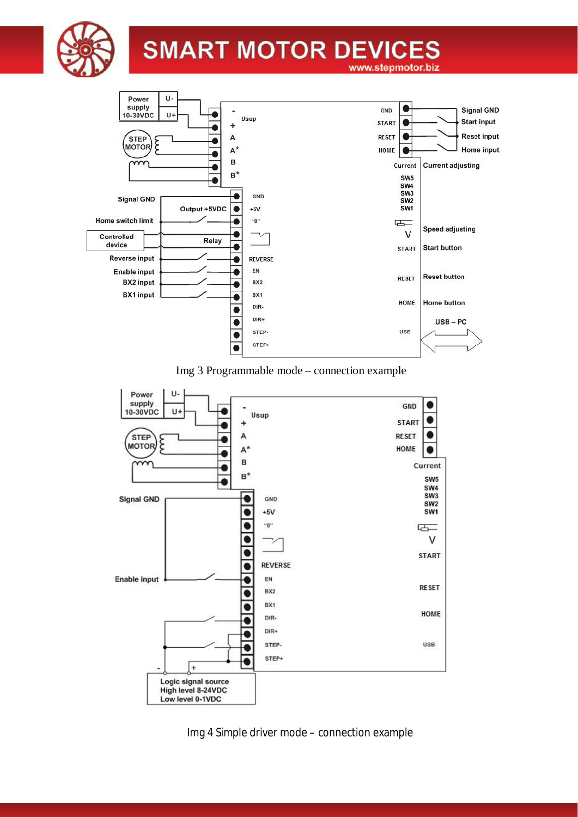



Img 3 Programmable mode – connection example



Img 4 Simple driver mode – connection example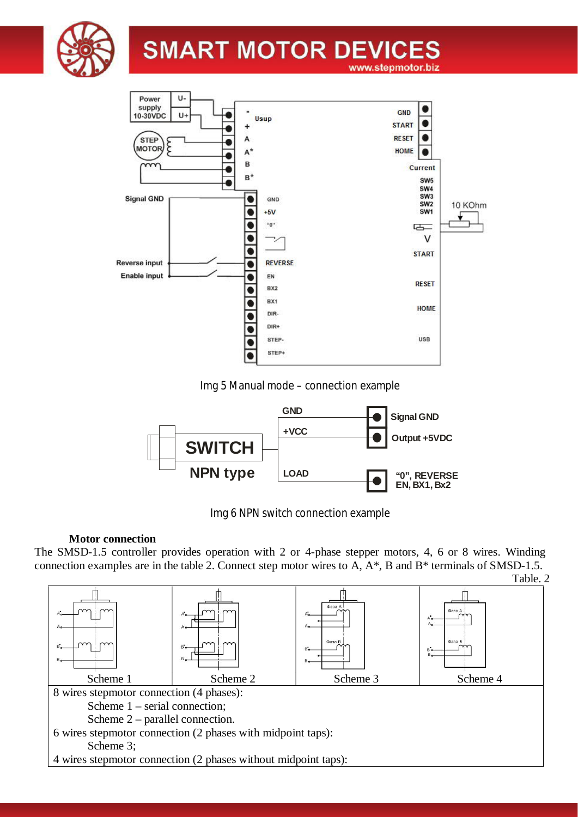



Img 5 Manual mode – connection example



Img 6 NPN switch connection example

#### **Motor connection**

The SMSD-1.5 controller provides operation with 2 or 4-phase stepper motors, 4, 6 or 8 wires. Winding connection examples are in the table 2. Connect step motor wires to A, A\*, B and B\* terminals of SMSD-1.5.

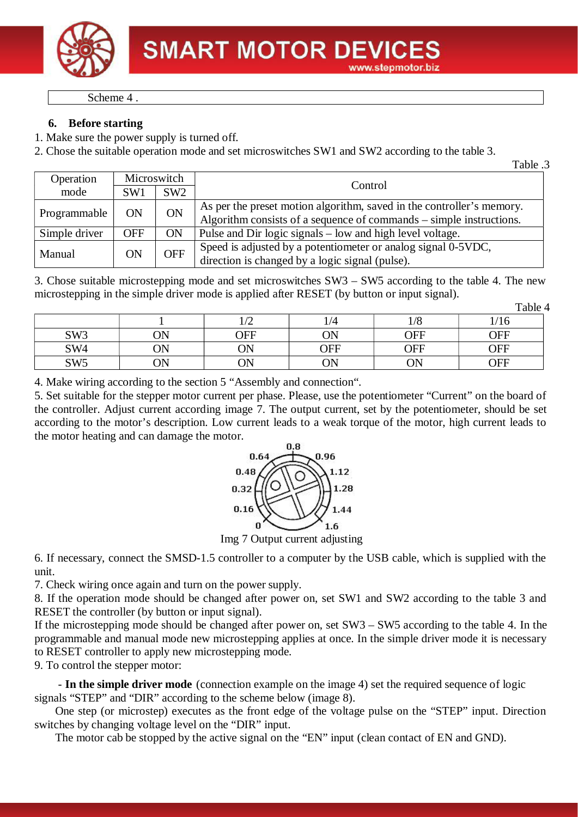

Scheme 4 .

#### **6. Before starting**

1. Make sure the power supply is turned off.

2. Chose the suitable operation mode and set microswitches SW1 and SW2 according to the table 3.

| Fable .3 |  |
|----------|--|
|          |  |

| Operation     | Microswitch     |            | Control                                                                                                                                      |  |
|---------------|-----------------|------------|----------------------------------------------------------------------------------------------------------------------------------------------|--|
| mode          | SW <sub>1</sub> | SW2        |                                                                                                                                              |  |
| Programmable  | ON              | ON         | As per the preset motion algorithm, saved in the controller's memory.<br>Algorithm consists of a sequence of commands – simple instructions. |  |
| Simple driver | <b>OFF</b>      | <b>ON</b>  | Pulse and Dir logic signals – low and high level voltage.                                                                                    |  |
| Manual        | ON              | <b>OFF</b> | Speed is adjusted by a potentiometer or analog signal 0-5VDC,<br>direction is changed by a logic signal (pulse).                             |  |

3. Chose suitable microstepping mode and set microswitches SW3 – SW5 according to the table 4. The new microstepping in the simple driver mode is applied after RESET (by button or input signal).

| able |  |
|------|--|
|------|--|

|                 |    |                        |            |                       | raoiv       |
|-----------------|----|------------------------|------------|-----------------------|-------------|
|                 |    | $\sqrt{2}$<br>$1/\sim$ |            | $\overline{O}$<br>178 | 1/1<br>1/10 |
| SW <sub>3</sub> | ОN | OFF                    | ΟN         | OFF                   | OFF         |
| SW4             | ОN | ON                     | OFF        | OFF                   | OFF         |
| SW <sub>5</sub> | ОN | ON                     | ΩN<br>vi i | ΟN                    | ${\rm OFF}$ |

4. Make wiring according to the section 5 "Assembly and connection".

5. Set suitable for the stepper motor current per phase. Please, use the potentiometer "Current" on the board of the controller. Adjust current according image 7. The output current, set by the potentiometer, should be set according to the motor's description. Low current leads to a weak torque of the motor, high current leads to the motor heating and can damage the motor.



Img 7 Output current adjusting

6. If necessary, connect the SMSD-1.5 controller to a computer by the USB cable, which is supplied with the unit.

7. Check wiring once again and turn on the power supply.

8. If the operation mode should be changed after power on, set SW1 and SW2 according to the table 3 and RESET the controller (by button or input signal).

If the microstepping mode should be changed after power on, set SW3 – SW5 according to the table 4. In the programmable and manual mode new microstepping applies at once. In the simple driver mode it is necessary to RESET controller to apply new microstepping mode.

9. To control the stepper motor:

 - **In the simple driver mode** (connection example on the image 4) set the required sequence of logic signals "STEP" and "DIR" according to the scheme below (image 8).

One step (or microstep) executes as the front edge of the voltage pulse on the "STEP" input. Direction switches by changing voltage level on the "DIR" input.

The motor cab be stopped by the active signal on the "EN" input (clean contact of EN and GND).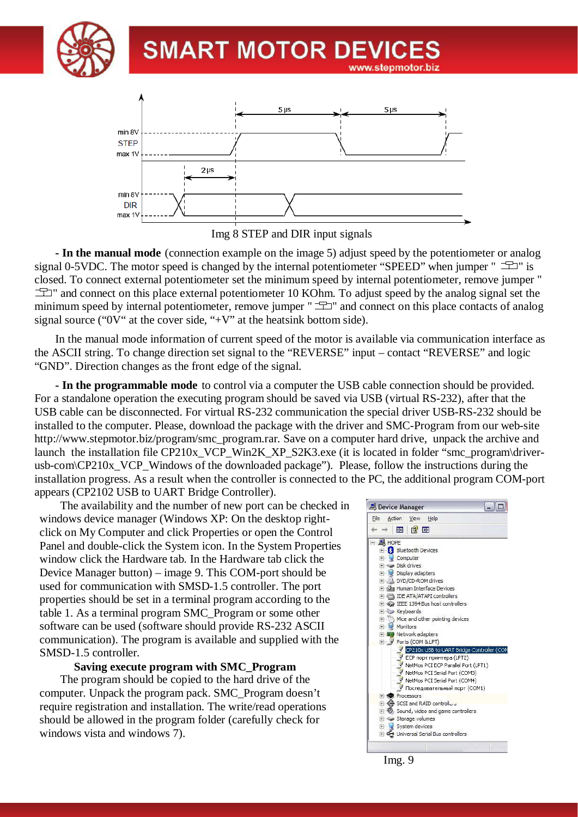



Img 8 STEP and DIR input signals

**- In the manual mode** (connection example on the image 5) adjust speed by the potentiometer or analog signal 0-5VDC. The motor speed is changed by the internal potentiometer "SPEED" when jumper "  $\equiv$  " closed. To connect external potentiometer set the minimum speed by internal potentiometer, remove jumper "  $\pm$  " and connect on this place external potentiometer 10 KOhm. To adjust speed by the analog signal set the minimum speed by internal potentiometer, remove jumper " $\equiv$ " and connect on this place contacts of analog signal source (" $0V$ " at the cover side, "+ $V$ " at the heatsink bottom side).

In the manual mode information of current speed of the motor is available via communication interface as the ASCII string. To change direction set signal to the "REVERSE" input – contact "REVERSE" and logic "GND". Direction changes as the front edge of the signal.

**- In the programmable mode** to control via a computer the USB cable connection should be provided. For a standalone operation the executing program should be saved via USB (virtual RS-232), after that the USB cable can be disconnected. For virtual RS-232 communication the special driver USB-RS-232 should be installed to the computer. Please, download the package with the driver and SMC-Program from our web-site http://www.stepmotor.biz/program/smc\_program.rar. Save on a computer hard drive, unpack the archive and launch the installation file CP210x\_VCP\_Win2K\_XP\_S2K3.exe (it is located in folder "smc\_program\driverusb-com\CP210x\_VCP\_Windows of the downloaded package"). Please, follow the instructions during the installation progress. As a result when the controller is connected to the PC, the additional program COM-port appears (CP2102 USB to UART Bridge Controller).

The availability and the number of new port can be checked in windows device manager (Windows XP: On the desktop rightclick on My Computer and click Properties or open the Control Panel and double-click the System icon. In the System Properties window click the Hardware tab. In the Hardware tab click the Device Manager button) – image 9. This COM-port should be used for communication with SMSD-1.5 controller. The port properties should be set in a terminal program according to the table 1. As a terminal program SMC\_Program or some other software can be used (software should provide RS-232 ASCII communication). The program is available and supplied with the SMSD-1.5 controller.

#### **Saving execute program with SMC\_Program**

The program should be copied to the hard drive of the computer. Unpack the program pack. SMC\_Program doesn't require registration and installation. The write/read operations should be allowed in the program folder (carefully check for windows vista and windows 7).



Img. 9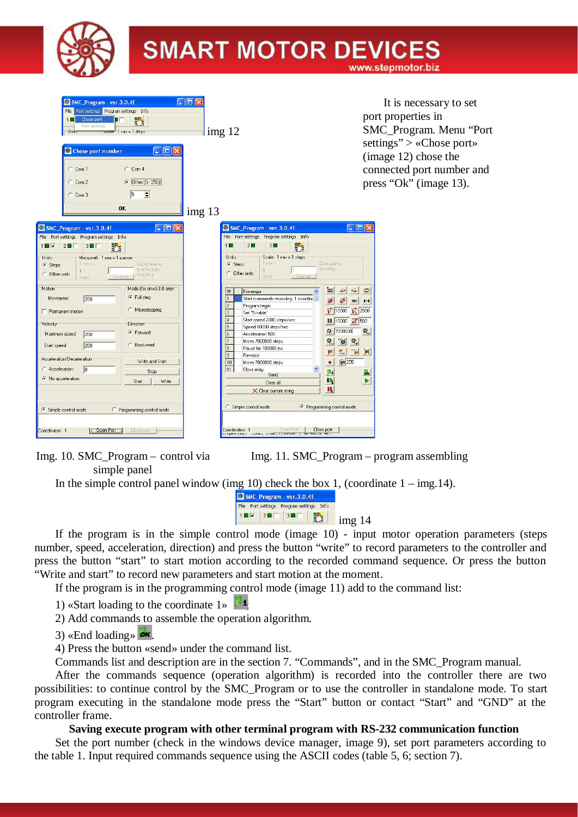

| SMC_Program - ver. 3.0.4E<br>File Port settings Program settings Info<br>Chose port<br>$1\Box$<br>的<br>Port settings<br>Units:<br>Scale: 1 MM = 1 steps:<br>$ \Box$ $\times$<br>C Chose port number<br>$C_{CD}$ Com 1<br>$C_{CD}$<br>C Other (5 - 255):<br>$C$ Com 2<br>$\sqrt{5}$<br>$\div$<br>$C$ Com 3<br><b>OK</b>                                                                                                                                                                                                                                                                                                                                                                                                                                                             | $ \Box$<br>img 12<br>img 13                                                                                                                                                                                                                                                                                                                                                                                                                                                                                                                                                                                                                                                                                                                                                                                                                                                                                                                                                                       | It is necessary to set<br>port properties in<br>SMC_Program. Menu "Port<br>settings" > «Chose port»<br>(image 12) chose the<br>connected port number and<br>press "Ok" (image 13).                                                                                                   |
|------------------------------------------------------------------------------------------------------------------------------------------------------------------------------------------------------------------------------------------------------------------------------------------------------------------------------------------------------------------------------------------------------------------------------------------------------------------------------------------------------------------------------------------------------------------------------------------------------------------------------------------------------------------------------------------------------------------------------------------------------------------------------------|---------------------------------------------------------------------------------------------------------------------------------------------------------------------------------------------------------------------------------------------------------------------------------------------------------------------------------------------------------------------------------------------------------------------------------------------------------------------------------------------------------------------------------------------------------------------------------------------------------------------------------------------------------------------------------------------------------------------------------------------------------------------------------------------------------------------------------------------------------------------------------------------------------------------------------------------------------------------------------------------------|--------------------------------------------------------------------------------------------------------------------------------------------------------------------------------------------------------------------------------------------------------------------------------------|
| $\Box$ ek<br>C. SMC_Program - ver. 3.0.4E<br>File Port settings Program settings Info<br>認<br>$1 \square \triangledown$<br>$2\square$<br>$3 \blacksquare \square$<br>Масштаб: 1 мм = 1 шагов<br>Units:<br>1 IMM =<br>G Steps<br><b><i><u>Округление</u></i></b><br>в меньшчю<br>C Other units<br>сторону<br>Change<br>steps<br>Motion<br>Mode (for smsd-3.0 only)<br><b>Full step</b><br>Movement<br>200<br>C Microstepping<br>Permanent motion<br>Velocity<br>Direction<br>G Forward<br>Maximum speed<br>200<br>200<br>C Backward<br>Start speed<br>Acceleration/Deceleration<br>Write and Start<br>C Acceleration:<br>In<br>Stop<br>C No acceleration<br>Start<br>Write<br>← Simple control mode<br>Programming control mode<br>$\Box$ Open Port<br>Close port<br>Coordinates: 1 | SMC_Program - ver. 3.0.4E<br>File Port settings Program settings Info<br>$2 \Box$<br>畅<br>$3\Box$<br>1<br>Units:<br>Scale: 1 MM = 1 steps:<br>T-MM=<br>Decreasing<br>G Steps<br>rounding<br><b>C</b> Other units<br>Change<br>steps<br>▤<br>$N^2$<br>Команда<br>$\blacktriangle$<br>Start commands recording: 1 coordinal<br>$\overline{2}$<br>Program begin<br>$\overline{3}$<br>Set "Enable"<br>$\overline{4}$<br>Start speed 2000 steps/sec<br>$\overline{5}$<br>Speed 10000 steps/sec<br>7000000<br>$\overline{6}$<br>Acceleration 500<br>$\overline{7}$<br>Move 7000000 steps<br>會<br>$\overline{8}$<br>Pause for 100000 ms<br>P.<br>9<br>Reverse<br>10<br>Move 7000000 steps<br>$\bullet$<br>11<br>$\checkmark$<br>Close relay<br>$\mathbf{u}$<br>Send<br>$\blacksquare$<br>Clear all<br>и<br>X Clear current string<br>C Simple control mode<br><sup>6</sup> Programming control mode<br>Doen Port<br>Close port<br>Coordinates: 1<br>открытторт, солю, о ойг, стоятойт, т, четность, чет, | $\Box$ o $\times$<br>$\Rightarrow$<br>$\blacktriangleright$<br>$\mathbb{R}^d$<br>HHI<br>$\mathbf{H}$<br>$\overline{V}$ 10000 $\overline{V_0}$ 2000<br>$  $ 10000 $\vec{a}$ 500<br>食。<br>$\phi_o$<br>$\mathbf{Q}$<br>$\mathbf{p}$<br>$\mathbb{R}$<br>$\odot$ 255<br>$\mathbf{a}$<br>ь |

Img. 10. SMC\_Program – control via simple panel

Img. 11. SMC\_Program – program assembling

In the simple control panel window (img 10) check the box 1, (coordinate  $1 - \text{img}.14$ ).



If the program is in the simple control mode (image 10) - input motor operation parameters (steps number, speed, acceleration, direction) and press the button "write" to record parameters to the controller and press the button "start" to start motion according to the recorded command sequence. Or press the button "Write and start" to record new parameters and start motion at the moment.

If the program is in the programming control mode (image 11) add to the command list:

1) «Start loading to the coordinate  $1\%$ 

2) Add commands to assemble the operation algorithm.

3) «End loading»  $\omega$ 

4) Press the button «send» under the command list.

Commands list and description are in the section 7. "Commands", and in the SMC\_Program manual.

After the commands sequence (operation algorithm) is recorded into the controller there are two possibilities: to continue control by the SMC\_Program or to use the controller in standalone mode. To start program executing in the standalone mode press the "Start" button or contact "Start" and "GND" at the controller frame.

#### **Saving execute program with other terminal program with RS-232 communication function**

Set the port number (check in the windows device manager, image 9), set port parameters according to the table 1. Input required commands sequence using the ASCII codes (table 5, 6; section 7).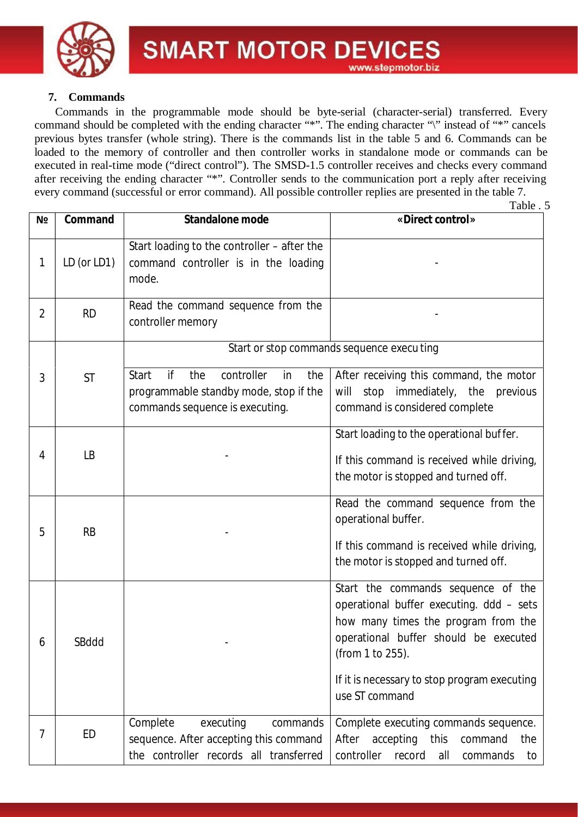

#### **7. Commands**

Commands in the programmable mode should be byte-serial (character-serial) transferred. Every command should be completed with the ending character "\*". The ending character "\" instead of "\*" cancels previous bytes transfer (whole string). There is the commands list in the table 5 and 6. Commands can be loaded to the memory of controller and then controller works in standalone mode or commands can be executed in real-time mode ("direct control"). The SMSD-1.5 controller receives and checks every command after receiving the ending character "\*". Controller sends to the communication port a reply after receiving every command (successful or error command). All possible controller replies are presented in the table 7.

|                |             |                                                                                                                            | Table . 5                                                                                                                                                                          |  |  |
|----------------|-------------|----------------------------------------------------------------------------------------------------------------------------|------------------------------------------------------------------------------------------------------------------------------------------------------------------------------------|--|--|
| N <sub>2</sub> | Command     | Standalone mode                                                                                                            | «Direct control»                                                                                                                                                                   |  |  |
| 1              | LD (or LD1) | Start loading to the controller - after the<br>command controller is in the loading<br>mode.                               |                                                                                                                                                                                    |  |  |
| $\overline{2}$ | <b>RD</b>   | Read the command sequence from the<br>controller memory                                                                    |                                                                                                                                                                                    |  |  |
|                |             |                                                                                                                            | Start or stop commands sequence execu ting                                                                                                                                         |  |  |
| 3              | <b>ST</b>   | if<br>controller<br>Start<br>the<br>in<br>the<br>programmable standby mode, stop if the<br>commands sequence is executing. | After receiving this command, the motor<br>will stop immediately, the previous<br>command is considered complete                                                                   |  |  |
| 4              | LВ          |                                                                                                                            | Start loading to the operational buffer.<br>If this command is received while driving,<br>the motor is stopped and turned off.                                                     |  |  |
| 5              | <b>RB</b>   |                                                                                                                            | Read the command sequence from the<br>operational buffer.<br>If this command is received while driving,<br>the motor is stopped and turned off.                                    |  |  |
| 6              | SBddd       |                                                                                                                            | Start the commands sequence of the<br>operational buffer executing. ddd - sets<br>how many times the program from the<br>operational buffer should be executed<br>(from 1 to 255). |  |  |
|                |             |                                                                                                                            | If it is necessary to stop program executing<br>use ST command                                                                                                                     |  |  |
| 7              | <b>ED</b>   | Complete<br>executing<br>commands<br>sequence. After accepting this command<br>the controller records all transferred      | Complete executing commands sequence.<br>After accepting this<br>command<br>the<br>controller<br>record<br>all<br>commands<br>to                                                   |  |  |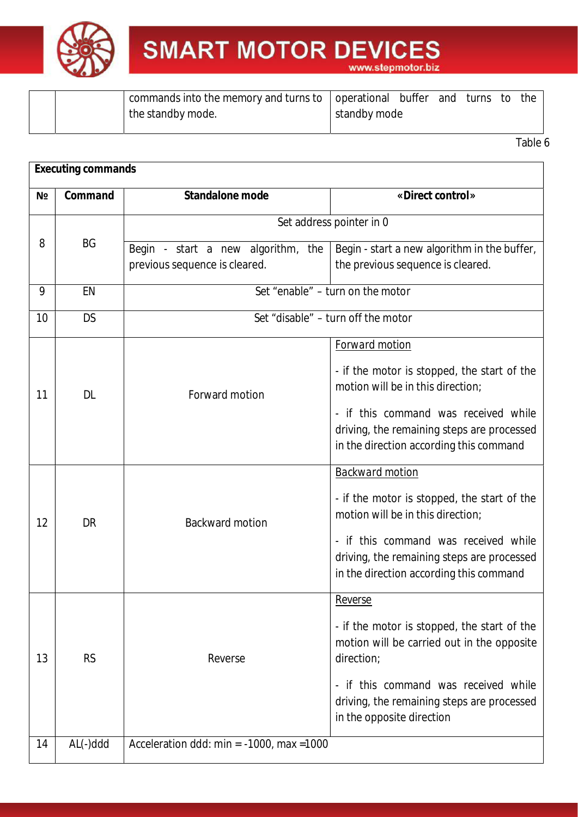

|  | 1 commands into the memory and turns to   operational → |              | buffer | and | turns to | the |
|--|---------------------------------------------------------|--------------|--------|-----|----------|-----|
|  | the standby mode.                                       | standby mode |        |     |          |     |
|  |                                                         |              |        |     |          |     |

|    | <b>Executing commands</b> |                                                                     |                                                                                                                                                                                                                                                       |  |  |  |  |
|----|---------------------------|---------------------------------------------------------------------|-------------------------------------------------------------------------------------------------------------------------------------------------------------------------------------------------------------------------------------------------------|--|--|--|--|
| Nº | Command                   | Standalone mode                                                     | «Direct control»                                                                                                                                                                                                                                      |  |  |  |  |
|    | Set address pointer in 0  |                                                                     |                                                                                                                                                                                                                                                       |  |  |  |  |
| 8  | <b>BG</b>                 | Begin - start a new algorithm, the<br>previous sequence is cleared. | Begin - start a new algorithm in the buffer,<br>the previous sequence is cleared.                                                                                                                                                                     |  |  |  |  |
| 9  | EN                        |                                                                     | Set "enable" – turn on the motor                                                                                                                                                                                                                      |  |  |  |  |
| 10 | <b>DS</b>                 |                                                                     | Set "disable" - turn off the motor                                                                                                                                                                                                                    |  |  |  |  |
| 11 | <b>DL</b>                 | Forward motion                                                      | Forward motion<br>- if the motor is stopped, the start of the<br>motion will be in this direction;<br>- if this command was received while<br>driving, the remaining steps are processed<br>in the direction according this command                   |  |  |  |  |
| 12 | DR                        | <b>Backward motion</b>                                              | Backward motion<br>- if the motor is stopped, the start of the<br>motion will be in this direction;<br>- if this command was received while<br>driving, the remaining steps are processed<br>in the direction according this command                  |  |  |  |  |
| 13 | <b>RS</b>                 | Reverse                                                             | Reverse<br>- if the motor is stopped, the start of the<br>motion will be carried out in the opposite<br>direction;<br>if this command was received while<br>$\blacksquare$<br>driving, the remaining steps are processed<br>in the opposite direction |  |  |  |  |
| 14 | AL(-)ddd                  | Acceleration ddd: min = $-1000$ , max = 1000                        |                                                                                                                                                                                                                                                       |  |  |  |  |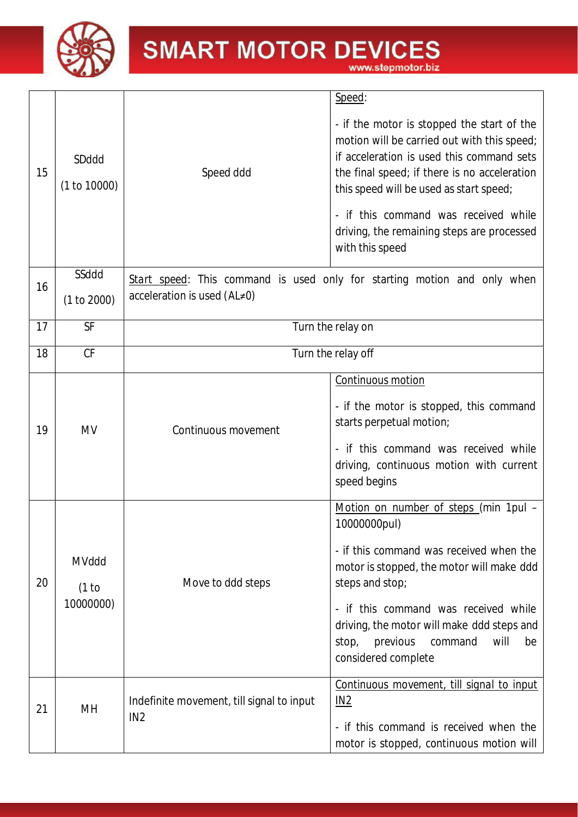

15 SDddd (1 to 10000) Speed ddd *Speed*: - if the motor is stopped the start of the motion will be carried out with this speed; if acceleration is used this command sets the final speed; if there is no acceleration this speed will be used as start speed; - if this command was received while driving, the remaining steps are processed with this speed 16 SSddd (1 to 2000) *Start speed*: This command is used only for starting motion and only when acceleration is used (*AL*≠0) 17 SF SF Turn the relay on 18 CF Turn the relay off 19 MV Continuous movement *Continuous motion* - if the motor is stopped, this command starts perpetual motion; - if this command was received while driving, continuous motion with current speed begins 20 MVddd (1 to 10000000) Move to ddd steps *Motion on number of steps* (min 1pul – 10000000pul) - if this command was received when the motor is stopped, the motor will make *ddd* steps and stop; - if this command was received while driving, the motor will make *ddd* steps and stop, previous command will be considered complete  $21$  MH  $\parallel$  Indefinite movement, till signal to input IN2 *Continuous movement, till signal to input IN2* - if this command is received when the motor is stopped, continuous motion will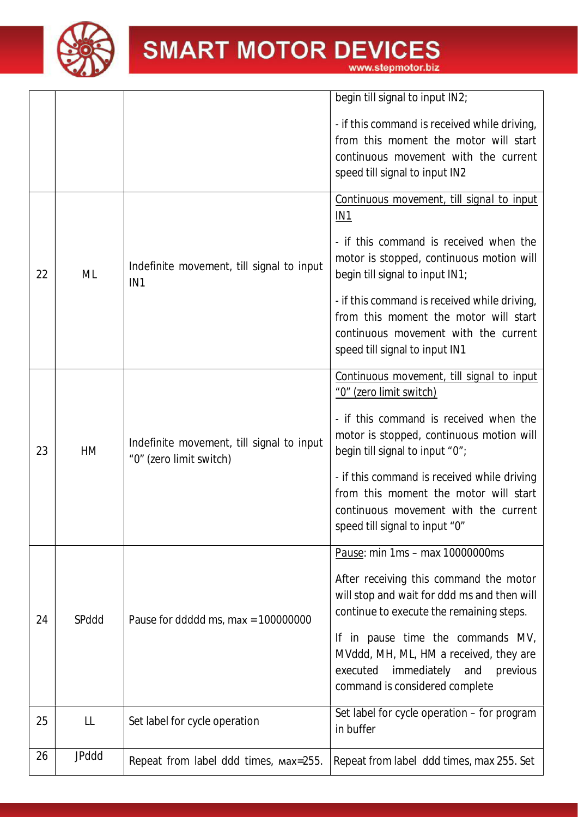

www.stepmotor.biz

|    |              |                                                                      | begin till signal to input IN2;                                                                                                                                                                                                                                                                                                                                 |
|----|--------------|----------------------------------------------------------------------|-----------------------------------------------------------------------------------------------------------------------------------------------------------------------------------------------------------------------------------------------------------------------------------------------------------------------------------------------------------------|
|    |              |                                                                      | - if this command is received while driving,<br>from this moment the motor will start<br>continuous movement with the current<br>speed till signal to input IN2                                                                                                                                                                                                 |
| 22 | ML           | Indefinite movement, till signal to input<br>IN <sub>1</sub>         | Continuous movement, till signal to input<br><u>IN1</u><br>- if this command is received when the<br>motor is stopped, continuous motion will<br>begin till signal to input IN1;<br>- if this command is received while driving,<br>from this moment the motor will start<br>continuous movement with the current<br>speed till signal to input IN1             |
| 23 | HM           | Indefinite movement, till signal to input<br>"0" (zero limit switch) | Continuous movement, till signal to input<br>"0" (zero limit switch)<br>- if this command is received when the<br>motor is stopped, continuous motion will<br>begin till signal to input "0";<br>- if this command is received while driving<br>from this moment the motor will start<br>continuous movement with the current<br>speed till signal to input "0" |
| 24 | SPddd        | Pause for ddddd ms, max = $100000000$                                | Pause: min 1ms - max 10000000ms<br>After receiving this command the motor<br>will stop and wait for ddd ms and then will<br>continue to execute the remaining steps.<br>If in pause time the commands MV,<br>MVddd, MH, ML, HM a received, they are<br>immediately<br>executed<br>and<br>previous<br>command is considered complete                             |
| 25 | LL           | Set label for cycle operation                                        | Set label for cycle operation – for program<br>in buffer                                                                                                                                                                                                                                                                                                        |
| 26 | <b>JPddd</b> | Repeat from label ddd times, max=255.                                | Repeat from label ddd times, max 255. Set                                                                                                                                                                                                                                                                                                                       |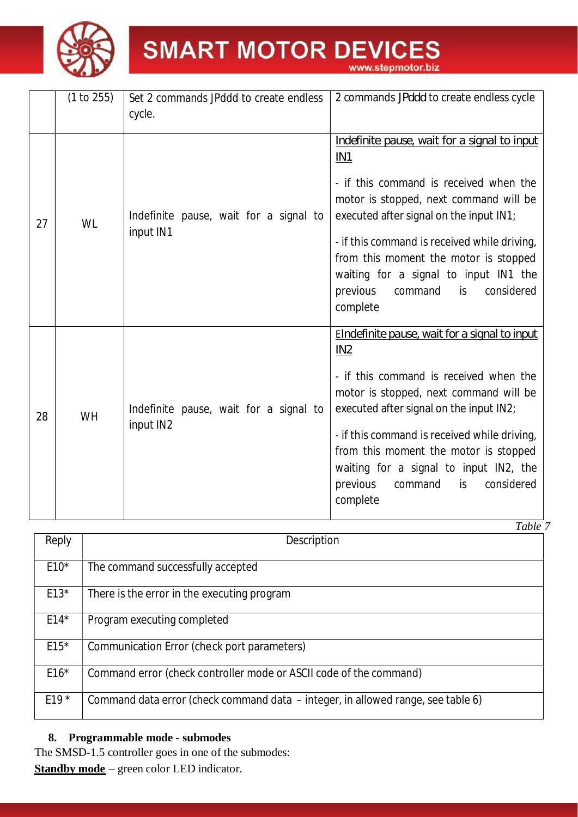

| www.stepmotor.biz |  |  |
|-------------------|--|--|
|                   |  |  |

|    | (1 to 255) | Set 2 commands JPddd to create endless              | 2 commands JPddd to create endless cycle                                                                                                                                                                                                                                                                                                                                                             |
|----|------------|-----------------------------------------------------|------------------------------------------------------------------------------------------------------------------------------------------------------------------------------------------------------------------------------------------------------------------------------------------------------------------------------------------------------------------------------------------------------|
|    |            | cycle.                                              |                                                                                                                                                                                                                                                                                                                                                                                                      |
| 27 | <b>WL</b>  | Indefinite pause, wait for a signal to<br>input IN1 | Indefinite pause, wait for a signal to input<br>IN <sub>1</sub><br>- if this command is received when the<br>motor is stopped, next command will be<br>executed after signal on the input IN1;<br>- if this command is received while driving,<br>from this moment the motor is stopped<br>waiting for a signal to input IN1 the<br>considered<br>previous<br>command<br>is.<br>complete             |
| 28 | <b>WH</b>  | Indefinite pause, wait for a signal to<br>input IN2 | Elndefinite pause, wait for a signal to input<br>IN <sub>2</sub><br>- if this command is received when the<br>motor is stopped, next command will be<br>executed after signal on the input IN2;<br>- if this command is received while driving,<br>from this moment the motor is stopped<br>waiting for a signal to input IN2, the<br>previous<br>considered<br>command<br>$\mathsf{is}$<br>complete |

|        | <i>L</i> uvic                                                                    |
|--------|----------------------------------------------------------------------------------|
| Reply  | Description                                                                      |
| $E10*$ | The command successfully accepted                                                |
| $E13*$ | There is the error in the executing program                                      |
| $E14*$ | Program executing completed                                                      |
| $E15*$ | Communication Error (check port parameters)                                      |
| $E16*$ | Command error (check controller mode or ASCII code of the command)               |
| $E19*$ | Command data error (check command data – integer, in allowed range, see table 6) |

#### **8. Programmable mode - submodes**

The SMSD-1.5 controller goes in one of the submodes:

**Standby mode** – green color LED indicator.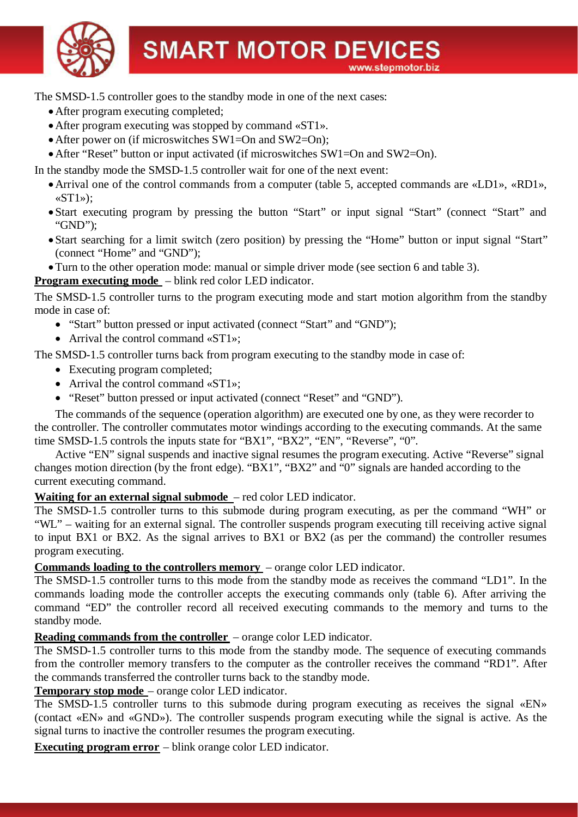

The SMSD-1.5 controller goes to the standby mode in one of the next cases:

- ·After program executing completed;
- ·After program executing was stopped by command «ST1».
- After power on (if microswitches SW1=On and SW2=On);
- After "Reset" button or input activated (if microswitches SW1=On and SW2=On).

In the standby mode the SMSD-1.5 controller wait for one of the next event:

- ·Arrival one of the control commands from a computer (table 5, accepted commands are «LD1», «RD1»,  $\langle \mathbf{ST1}\rangle$ :
- Start executing program by pressing the button "Start" or input signal "Start" (connect "Start" and "GND");
- · Start searching for a limit switch (zero position) by pressing the "Home" button or input signal "Start" (connect "Home" and "GND");
- ·Turn to the other operation mode: manual or simple driver mode (see section 6 and table 3).

#### **Program executing mode** – blink red color LED indicator.

The SMSD-1.5 controller turns to the program executing mode and start motion algorithm from the standby mode in case of:

- "Start" button pressed or input activated (connect "Start" and "GND"):
- Arrival the control command «ST1»;

The SMSD-1.5 controller turns back from program executing to the standby mode in case of:

- Executing program completed;
- Arrival the control command «ST1»;
- "Reset" button pressed or input activated (connect "Reset" and "GND").

The commands of the sequence (operation algorithm) are executed one by one, as they were recorder to the controller. The controller commutates motor windings according to the executing commands. At the same time SMSD-1.5 controls the inputs state for "BX1", "BX2", "EN", "Reverse", "0".

Active "EN" signal suspends and inactive signal resumes the program executing. Active "Reverse" signal changes motion direction (by the front edge). "BX1", "BX2" and "0" signals are handed according to the current executing command.

#### **Waiting for an external signal submode** – red color LED indicator.

The SMSD-1.5 controller turns to this submode during program executing, as per the command "WH" or "WL" – waiting for an external signal. The controller suspends program executing till receiving active signal to input BX1 or BX2. As the signal arrives to BX1 or BX2 (as per the command) the controller resumes program executing.

**Commands loading to the controllers memory** – orange color LED indicator.

The SMSD-1.5 controller turns to this mode from the standby mode as receives the command "LD1". In the commands loading mode the controller accepts the executing commands only (table 6). After arriving the command "ED" the controller record all received executing commands to the memory and turns to the standby mode.

**Reading commands from the controller** – orange color LED indicator.

The SMSD-1.5 controller turns to this mode from the standby mode. The sequence of executing commands from the controller memory transfers to the computer as the controller receives the command "RD1". After the commands transferred the controller turns back to the standby mode.

#### **Temporary stop mode** – orange color LED indicator.

The SMSD-1.5 controller turns to this submode during program executing as receives the signal «EN» (contact «EN» and «GND»). The controller suspends program executing while the signal is active. As the signal turns to inactive the controller resumes the program executing.

**Executing program error** – blink orange color LED indicator.